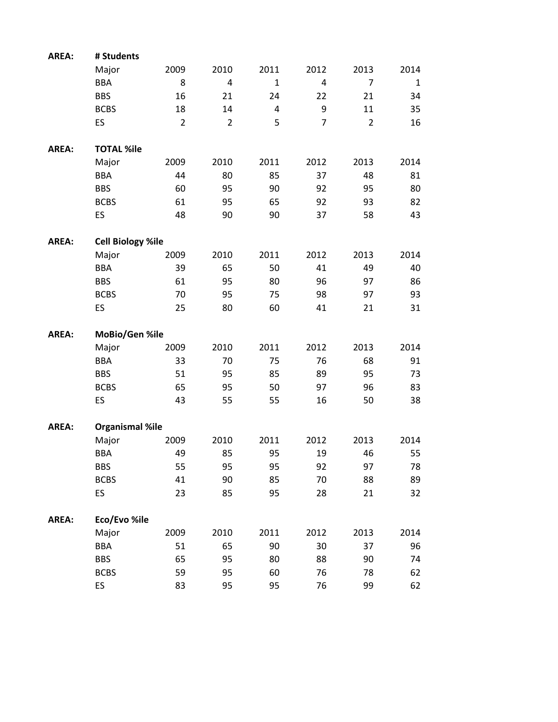| <b>AREA:</b> | # Students               |                |                |                |                |                |             |
|--------------|--------------------------|----------------|----------------|----------------|----------------|----------------|-------------|
|              | Major                    | 2009           | 2010           | 2011           | 2012           | 2013           | 2014        |
|              | <b>BBA</b>               | 8              | $\overline{4}$ | $\mathbf{1}$   | 4              | $\overline{7}$ | $\mathbf 1$ |
|              | <b>BBS</b>               | 16             | 21             | 24             | 22             | 21             | 34          |
|              | <b>BCBS</b>              | 18             | 14             | $\overline{4}$ | 9              | 11             | 35          |
|              | ES                       | $\overline{2}$ | $\overline{2}$ | 5              | $\overline{7}$ | $\overline{2}$ | 16          |
| <b>AREA:</b> | <b>TOTAL %ile</b>        |                |                |                |                |                |             |
|              | Major                    | 2009           | 2010           | 2011           | 2012           | 2013           | 2014        |
|              | <b>BBA</b>               | 44             | 80             | 85             | 37             | 48             | 81          |
|              | <b>BBS</b>               | 60             | 95             | 90             | 92             | 95             | 80          |
|              | <b>BCBS</b>              | 61             | 95             | 65             | 92             | 93             | 82          |
|              | ES                       | 48             | 90             | 90             | 37             | 58             | 43          |
| AREA:        | <b>Cell Biology %ile</b> |                |                |                |                |                |             |
|              | Major                    | 2009           | 2010           | 2011           | 2012           | 2013           | 2014        |
|              | <b>BBA</b>               | 39             | 65             | 50             | 41             | 49             | 40          |
|              | <b>BBS</b>               | 61             | 95             | 80             | 96             | 97             | 86          |
|              | <b>BCBS</b>              | 70             | 95             | 75             | 98             | 97             | 93          |
|              | ES                       | 25             | 80             | 60             | 41             | 21             | 31          |
| AREA:        | MoBio/Gen %ile           |                |                |                |                |                |             |
|              |                          |                |                |                |                |                |             |
|              | Major                    | 2009           | 2010           | 2011           | 2012           | 2013           | 2014        |
|              | <b>BBA</b>               | 33             | 70             | 75             | 76             | 68             | 91          |
|              | <b>BBS</b>               | 51             | 95             | 85             | 89             | 95             | 73          |
|              | <b>BCBS</b>              | 65             | 95             | 50             | 97             | 96             | 83          |
|              | ES                       | 43             | 55             | 55             | 16             | 50             | 38          |
| <b>AREA:</b> | <b>Organismal %ile</b>   |                |                |                |                |                |             |
|              | Major                    | 2009           | 2010           | 2011           | 2012           | 2013           | 2014        |
|              | <b>BBA</b>               | 49             | 85             | 95             | 19             | 46             | 55          |
|              | <b>BBS</b>               | 55             | 95             | 95             | 92             | 97             | 78          |
|              | <b>BCBS</b>              | 41             | 90             | 85             | 70             | 88             |             |
|              | ES                       | 23             | 85             | 95             | 28             | 21             | 89<br>32    |
| AREA:        | Eco/Evo %ile             |                |                |                |                |                |             |
|              | Major                    | 2009           | 2010           | 2011           | 2012           | 2013           | 2014        |
|              | <b>BBA</b>               | 51             | 65             | 90             | 30             | 37             | 96          |
|              | <b>BBS</b>               | 65             | 95             | 80             | 88             | 90             |             |
|              | <b>BCBS</b>              | 59             | 95             | 60             | 76             | 78             | 74<br>62    |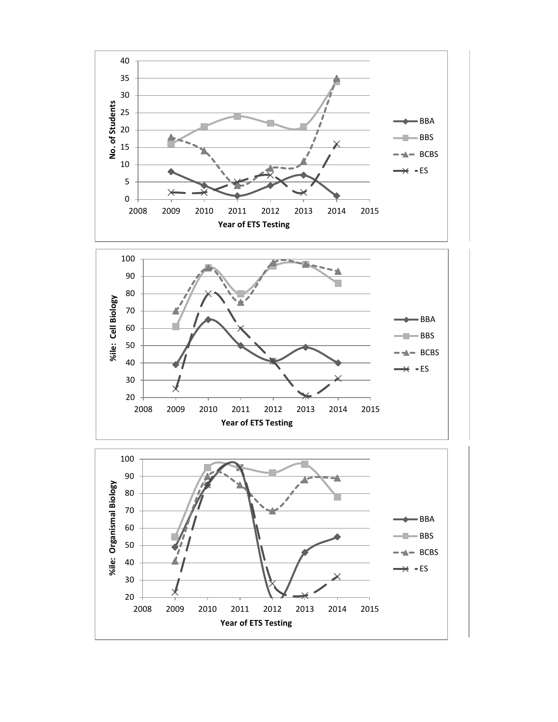